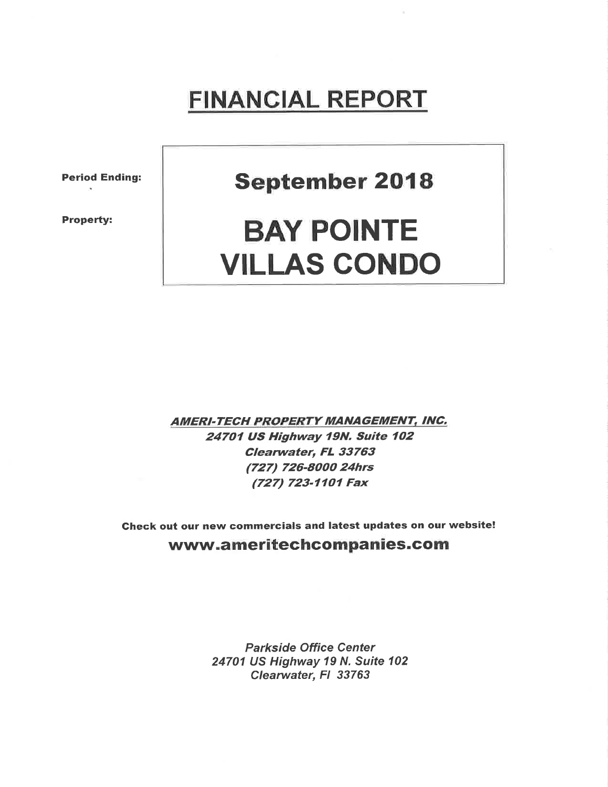## FINANCIAL REPORT

Period Ending:

Property:

September 2018

# BAY POINTE VILLAS CONDO

**AMERI-TECH PROPERTY MANAGEMENT, INC.** 24701 US Highway 19N. Suite 102 Clearwater, FL 33763 (727) 726-8000 24hrs (727) 723-77O1 Fax

Check out our new commercials and latest updates on our website! www.ameritechcompanies.com

> Parkside Office Center 24701 US Highway 19 N. Suite 102 Clearwater, Fl 33763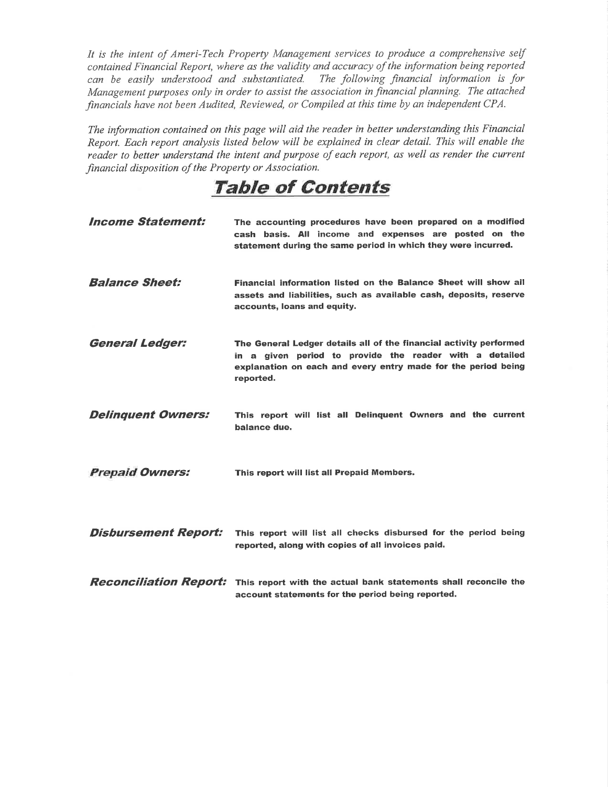It is the intent of Ameri-Tech Property Management services to produce a comprehensive self contained Financial Report, where as the validity and accuracy of the information being reported can be easily understood and substantiated. The following financial information is for Management purposes only in order to assist the association infinancial planning. The attached financials have not been Audited, Reviewed, or Compiled at this time by an independent CPA.

The information contained on this page will aid the reader in better understanding this Financial Report. Each report analysis listed below will be explained in clear detail. This will enable the reader to better understand the intent and purpose of each report, as well as render the current financial disposition of the Property or Association.

### TaþIe of Gontents

| <i><b>Income Statement:</b></i> | The accounting procedures have been prepared on a modified<br>cash basis. All income and expenses are posted on the<br>statement during the same period in which they were incurred.                        |
|---------------------------------|-------------------------------------------------------------------------------------------------------------------------------------------------------------------------------------------------------------|
| <b>Balance Sheet:</b>           | Financial information listed on the Balance Sheet will show all<br>assets and liabilities, such as available cash, deposits, reserve<br>accounts, loans and equity.                                         |
| <b>General Ledger:</b>          | The General Ledger details all of the financial activity performed<br>in a given period to provide the reader with a detailed<br>explanation on each and every entry made for the period being<br>reported. |
| <b>Delinquent Owners:</b>       | This report will list all Delinquent Owners and the current<br>balance due.                                                                                                                                 |
| <b>Prepaid Owners:</b>          | This report will list all Prepaid Members.                                                                                                                                                                  |
| <b>Disbursement Report:</b>     | This report will list all checks disbursed for the period being<br>reported, along with copies of all invoices paid.                                                                                        |
|                                 | <b>Reconciliation Report:</b> This report with the actual bank statements shall reconcile the<br>account statements for the period being reported.                                                          |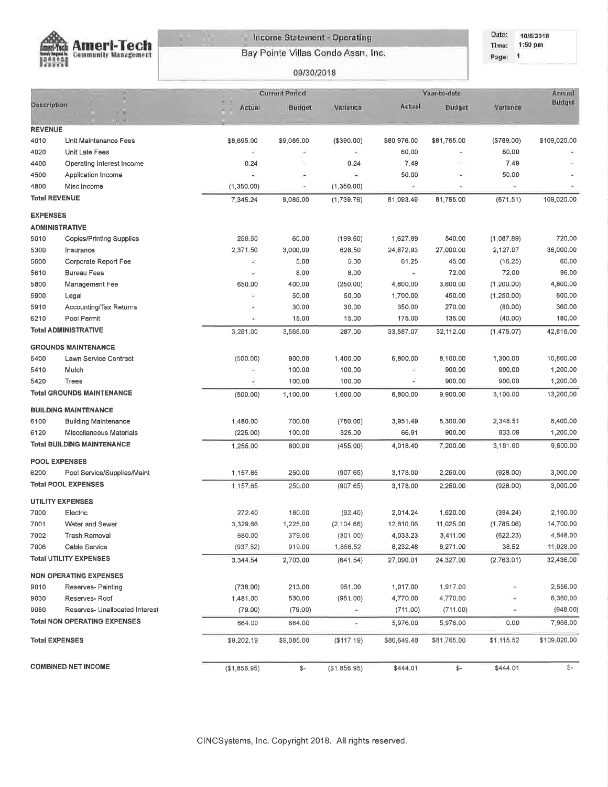

#### Income Statement - Operating

Bay Pointe Villas Condo Assn. Inc.

#### Date: 10/5/2018 Time: 1:50 pm Page: 1

#### 09/30/2018

|                       |                                     |                           | <b>Current Period</b> |              | Year-to-date | Annual      |                            |              |
|-----------------------|-------------------------------------|---------------------------|-----------------------|--------------|--------------|-------------|----------------------------|--------------|
| Description           |                                     | Actual                    | <b>Budget</b>         | Variance     | Actual       | Budget      | Variance                   | Budget       |
| <b>REVENUE</b>        |                                     |                           |                       |              |              |             |                            |              |
| 4010                  | Unit Maintenance Fees               | \$8,695.00                | \$9,085.00            | (\$390.00)   | \$60,976.00  | \$81,765.00 | (\$789.00)                 | \$109,020.00 |
| 4020                  | Unit Late Fees                      | ¥                         | ÷                     | E            | 60.00        | ÷           | 60,00                      |              |
| 4400                  | Operating Interest Income           | 0.24                      | ì.                    | 0.24         | 7.49         | u,          | 7.49                       |              |
| 4500                  | Application Income                  | ä,                        | Ξ                     | ×            | 50.00        | $\sim$      | 50.00                      |              |
| 4800                  | Misc Income                         | (1,350,00)                | и                     | (1,350.00)   | s.           | ×.          | ω,                         |              |
| <b>Total REVENUE</b>  |                                     | 7,345.24                  | 9,085.00              | (1,739.76)   | 81,093.49    | 81,765.00   | (671.51)                   | 109,020.00   |
| <b>EXPENSES</b>       |                                     |                           |                       |              |              |             |                            |              |
|                       | <b>ADMINISTRATIVE</b>               |                           |                       |              |              |             |                            |              |
| 5010                  | <b>Copies/Printing Supplies</b>     | 259.50                    | 60.00                 | (199.50)     | 1,627.89     | 540.00      | (1,087.89)                 | 720.00       |
| 5300                  | Insurance                           | 2,371.50                  | 3,000.00              | 628,50       | 24,872.93    | 27,000.00   | 2,127.07                   | 36,000.00    |
| 5600                  | Corporate Report Fee                | $\widetilde{\phantom{a}}$ | 5.00                  | 5.00         | 61.25        | 45.00       | (16.25)                    | 60.00        |
| 5610                  | <b>Bureau Fees</b>                  | $\frac{1}{2}$             | 8.00                  | 8.00         | à.           | 72,00       | 72.00                      | 96.00        |
| 5800                  | Management Fee                      | 650.00                    | 400.00                | (250.00)     | 4,800.00     | 3,600.00    | (1, 200.00)                | 4,800.00     |
| 5900                  | Legal                               | $\bar{a}$                 | 50.00                 | 50.00        | 1,700.00     | 450.00      | (1, 250.00)                | 600.00       |
| 5910                  | Accounting/Tax Returns              |                           | 30.00                 | 30.00        | 350.00       | 270.00      | (80.00)                    | 360.00       |
| 6210                  | Pool Permit                         | $\mathbf{a}$              | 15.00                 | 15.00        | 175,00       | 135,00      | (40.00)                    | 180.00       |
|                       | <b>Total ADMINISTRATIVE</b>         | 3,281.00                  | 3,568,00              | 287,00       | 33,587.07    | 32,112.00   | (1,475.07)                 | 42,816,00    |
|                       | <b>GROUNDS MAINTENANCE</b>          |                           |                       |              |              |             |                            |              |
| 5400                  | Lawn Service Contract               | (500.00)                  | 900.00                | 1,400.00     | 6,800.00     | 8,100.00    | 1,300.00                   | 10,800.00    |
| 5410                  | Mulch                               |                           | 100.00                | 100.00       | ž            | 900.00      | 900.00                     | 1,200.00     |
| 5420                  | Trees                               | ş                         | 100.00                | 100.00       | ä,           | 900.00      | 900.00                     | 1,200.00     |
|                       | <b>Total GROUNDS MAINTENANCE</b>    | (500.00)                  | 1,100.00              | 1,600.00     | 6,800.00     | 9,900.00    | 3,100.00                   | 13,200.00    |
|                       | <b>BUILDING MAINTENANCE</b>         |                           |                       |              |              |             |                            |              |
| 6100                  | <b>Building Maintenance</b>         | 1,480.00                  | 700.00                | (780.00)     | 3,951.49     | 6,300.00    | 2,348.51                   | 8,400.00     |
| 6120                  | Miscellaneous Materials             | (225.00)                  | 100,00                | 325,00       | 66,91        | 900.00      | 833.09                     | 1,200.00     |
|                       | <b>Total BUILDING MAINTENANCE</b>   | 1,255.00                  | 800.00                | (455.00)     | 4,018.40     | 7,200.00    | 3,181.60                   | 9,600.00     |
|                       | <b>POOL EXPENSES</b>                |                           |                       |              |              |             |                            |              |
| 6200                  | Pool Service/Supplies/Maint         | 1,157.65                  | 250.00                | (907.65)     | 3,178.00     | 2,250.00    | (928.00)                   | 3,000.00     |
|                       | <b>Total POOL EXPENSES</b>          | 1,157.65                  | 250.00                | (907.65)     | 3,178,00     | 2,250.00    | (928.00)                   | 3,000.00     |
|                       | <b>UTILITY EXPENSES</b>             |                           |                       |              |              |             |                            |              |
| 7000                  | Electric                            | 272,40                    | 180.00                | (92.40)      | 2,014.24     | 1,620.00    | (394.24)                   | 2,160.00     |
| 7001                  | Water and Sewer                     | 3,329.66                  | 1,225.00              | (2, 104.66)  | 12,810.06    | 11,025.00   | (1,785.06)                 | 14,700.00    |
| 7002                  | Trash Removal                       | 680.00                    | 379.00                | (301.00)     | 4,033.23     | 3,411.00    | (622.23)                   | 4,548.00     |
| 7006                  | Cable Service                       | (937.52)                  | 919.00                | 1,856.52     | 8,232.48     | 8,271.00    | 38,52                      | 11,028.00    |
|                       | <b>Total UTILITY EXPENSES</b>       | 3,344.54                  | 2,703.00              | (641.54)     | 27,090.01    | 24,327.00   | (2,763.01)                 | 32,436.00    |
|                       | <b>NON OPERATING EXPENSES</b>       |                           |                       |              |              |             |                            |              |
| 9010                  | Reserves- Painting                  | (738.00)                  | 213.00                | 951.00       | 1,917.00     | 1,917.00    | 4                          | 2,556.00     |
| 9030                  | Reserves-Roof                       | 1,481.00                  | 530.00                | (951.00)     | 4,770.00     | 4,770.00    |                            | 6,360.00     |
| 9080                  | Reserves- Unallocated Interest      | (79.00)                   | (79.00)               | ÷.           | (711.00)     | (711.00)    | $\overline{\phantom{a}}$ . | (948.00)     |
|                       | <b>Total NON OPERATING EXPENSES</b> | 664.00                    | 664.00                | ÷,           | 5,976.00     | 5,976.00    | 0.00                       | 7,968.00     |
| <b>Total EXPENSES</b> |                                     | \$9,202.19                | \$9,085.00            | (\$117.19)   | \$80,649,48  | \$81,765,00 | \$1,115.52                 | \$109,020.00 |
|                       |                                     |                           |                       |              |              |             |                            |              |
|                       | <b>COMBINED NET INCOME</b>          | (\$1,856.95)              | \$-                   | (\$1,856.95) | \$444.01     | \$-         | \$444.01                   | \$-          |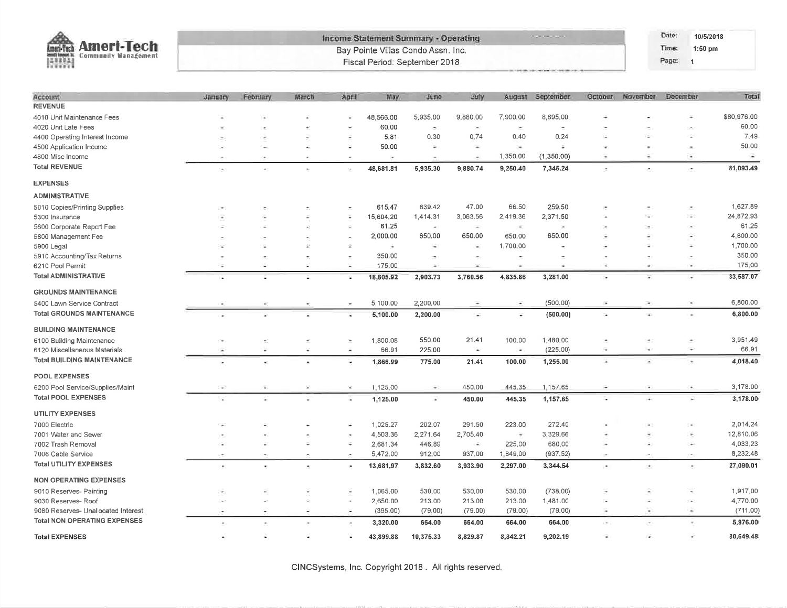|                                     |                |           |                     |                          |                          | Income Statement Summary - Operating |                     |                          |            |         |                              | Date:    | 10/5/2018                |             |
|-------------------------------------|----------------|-----------|---------------------|--------------------------|--------------------------|--------------------------------------|---------------------|--------------------------|------------|---------|------------------------------|----------|--------------------------|-------------|
| <b>Ameri-Tech</b><br>Lmen-Yech      |                |           |                     |                          |                          | Bay Pointe Villas Condo Assn. Inc.   |                     |                          |            |         |                              | Time:    | 1:50 pm                  |             |
| <b>Community Management</b><br>國語   |                |           |                     |                          |                          | Fiscal Period: September 2018        |                     |                          |            |         |                              | Page:    | $\blacksquare$           |             |
|                                     |                |           |                     |                          |                          |                                      |                     |                          |            |         |                              |          |                          |             |
| Account                             | <b>January</b> | February  | March               | April                    | May.                     | <b>June</b>                          | <b>July</b>         | August                   | September  | October | November                     | December |                          | Total       |
| <b>REVENUE</b>                      |                |           |                     |                          |                          |                                      |                     |                          |            |         |                              |          |                          |             |
| 4010 Unit Maintenance Fees          |                |           |                     |                          | 48,566.00                | 5,935.00                             | 9,880.00            | 7,900.00                 | 8,695.00   |         |                              |          |                          | \$80,976.00 |
| 4020 Unit Late Fees                 |                |           |                     |                          | 60.00                    | ×                                    | Сm)                 | $\overline{\phantom{a}}$ | $\pm$      |         |                              |          |                          | 60.00       |
| 4400 Operating Interest Income      |                |           |                     |                          | 5,81                     | 0.30                                 | 0,74                | 0.40                     | 0.24       |         |                              |          |                          | 7.49        |
| 4500 Application Income             |                |           |                     |                          | 50.00                    | $\bar{a}$                            |                     | ×                        |            |         |                              |          |                          | 50.00       |
| 4800 Misc Income                    |                |           |                     |                          | $\overline{\phantom{a}}$ |                                      |                     | 1,350.00                 | (1,350.00) | Ξ       | ٠                            |          | $\overline{\phantom{a}}$ | ÷           |
| <b>Total REVENUE</b>                | ٠              |           |                     | $\overline{\phantom{a}}$ | 48,681.81                | 5,935.30                             | 9,880.74            | 9,250.40                 | 7,345.24   |         | ۰                            |          | $\sim$                   | 81,093.49   |
| <b>EXPENSES</b>                     |                |           |                     |                          |                          |                                      |                     |                          |            |         |                              |          |                          |             |
| <b>ADMINISTRATIVE</b>               |                |           |                     |                          |                          |                                      |                     |                          |            |         |                              |          |                          |             |
| 5010 Copies/Printing Supplies       |                |           |                     |                          | 615.47                   | 639.42                               | 47.00               | 66.50                    | 259.50     |         |                              |          |                          | 1,627.89    |
| 5300 Insurance                      |                |           |                     |                          | 15,604.20                | 1,414.31                             | 3,063.56            | 2,419.36                 | 2,371.50   |         |                              |          |                          | 24,872.93   |
| 5600 Corporate Report Fee           |                |           |                     |                          | 61.25                    | $\bullet$                            | $\hat{\phantom{a}}$ | $\bullet$                | $\sim$     |         |                              |          |                          | 61.25       |
| 5800 Management Fee                 |                |           |                     |                          | 2,000.00                 | 850.00                               | 650.00              | 650.00                   | 650.00     |         |                              |          |                          | 4,800.00    |
| 5900 Legal                          |                |           | ÷                   | $\overline{\phantom{a}}$ | ÷,                       | ÷.                                   |                     | 1,700.00                 |            |         |                              |          |                          | 1,700.00    |
| 5910 Accounting/Tax Returns         |                |           |                     |                          | 350.00                   | ×,                                   |                     | ÷.                       |            |         |                              |          |                          | 350.00      |
| 6210 Pool Permit                    | Ξ              |           | 妥                   | $\approx$                | 175.00                   | Φ                                    | ×                   | ÷                        |            | ÷.      | ÷                            |          |                          | 175.00      |
| <b>Total ADMINISTRATIVE</b>         |                |           |                     | ×.                       | 18,805.92                | 2,903.73                             | 3,760.56            | 4,835.86                 | 3,281.00   |         | ä,                           |          | $\sim$                   | 33,587.07   |
| <b>GROUNDS MAINTENANCE</b>          |                |           |                     |                          |                          |                                      |                     |                          |            |         |                              |          |                          |             |
| 5400 Lawn Service Contract          |                |           |                     |                          | 5,100.00                 | 2,200.00                             |                     | $\overline{\bullet}$     | (500.00)   |         |                              |          |                          | 6,800.00    |
| <b>Total GROUNDS MAINTENANCE</b>    |                |           |                     | ī.                       | 5,100.00                 | 2,200.00                             | $\sim$              | ¥.                       | (500.00)   | ×,      | $\overline{\bullet}$         |          |                          | 6,800.00    |
| <b>BUILDING MAINTENANCE</b>         |                |           |                     |                          |                          |                                      |                     |                          |            |         |                              |          |                          |             |
| 6100 Building Maintenance           |                |           |                     |                          | 1,800.08                 | 550,00                               | 21.41               | 100,00                   | 1,480.00   |         |                              |          |                          | 3,951.49    |
| 6120 Miscellaneous Materials        |                |           | ×                   | ÷                        | 66.91                    | 225.00                               | $\sim$              | A)                       | (225.00)   | ÷       | S.                           |          | ÷                        | 66.91       |
| <b>Total BUILDING MAINTENANCE</b>   |                |           |                     | ×                        | 1,866.99                 | 775.00                               | 21.41               | 100.00                   | 1,255.00   | ×       | Ξ                            |          | ٠                        | 4,018.40    |
| POOL EXPENSES                       |                |           |                     |                          |                          |                                      |                     |                          |            |         |                              |          |                          |             |
| 6200 Pool Service/Supplies/Maint    |                |           |                     | 雀                        | 1,125,00                 | ÷                                    | 450.00              | 445.35                   | 1,157.65   | ÷.      | ٠                            |          | ×                        | 3,178.00    |
| <b>Total POOL EXPENSES</b>          |                |           |                     | ï.                       | 1,125.00                 | a,                                   | 450.00              | 445.35                   | 1,157.65   | ÷.      | ÷                            |          | к.                       | 3,178.00    |
| <b>UTILITY EXPENSES</b>             |                |           |                     |                          |                          |                                      |                     |                          |            |         |                              |          |                          |             |
| 7000 Electric                       |                |           |                     |                          | 1.025.27                 | 202.07                               | 291.50              | 223.00                   | 272,40     |         |                              |          |                          | 2,014.24    |
| 7001 Water and Sewer                |                |           |                     |                          | 4,503.36                 | 2,271.64                             | 2,705.40            | $\overline{\phantom{a}}$ | 3,329.66   |         |                              |          |                          | 12,810.06   |
| 7002 Trash Removal                  |                |           | ÷                   | 采                        | 2,681.34                 | 446.89                               | ò.                  | 225.00                   | 680.00     |         | ÷                            |          | ÷                        | 4,033.23    |
| 7006 Cable Service                  | ۰              | $\bullet$ | $\sim$              | $\mathcal{P}$            | 5,472.00                 | 912.00                               | 937.00              | 1,849,00                 | (937, 52)  | ÷       | ×                            |          | $\sim$                   | 8,232.48    |
| <b>Total UTILITY EXPENSES</b>       | ٠              | ٠         | $\bar{\phantom{a}}$ | $\sim$                   | 13,681.97                | 3,832.60                             | 3,933.90            | 2,297.00                 | 3,344.54   | ×.      | ÷.                           |          | ×,                       | 27,090.01   |
| <b>NON OPERATING EXPENSES</b>       |                |           |                     |                          |                          |                                      |                     |                          |            |         |                              |          |                          |             |
| 9010 Reserves- Painting             |                |           |                     | ×                        | 1,065.00                 | 530.00                               | 530.00              | 530.00                   | (738.00)   |         | ÷                            |          |                          | 1,917.00    |
| 9030 Reserves- Roof                 | b.             | ц.        | Ý.                  | $\rightarrow$            | 2,650.00                 | 213.00                               | 213.00              | 213.00                   | 1,481.00   | Tá.     | ٠                            |          | ×                        | 4,770.00    |
| 9080 Reserves- Unallocated Interest |                |           | ۰                   | $\sim$                   | (395.00)                 | (79,00)                              | (79.00)             | (79.00)                  | (79.00)    | ÷       | ν                            |          | ×                        | (711.00)    |
| Total NON OPERATING EXPENSES        |                |           | ø.                  | $\mathcal{P}$            | 3,320.00                 | 664.00                               | 664.00              | 664.00                   | 664.00     |         | $\qquad \qquad \blacksquare$ |          | ×,                       | 5,976.00    |
| <b>Total EXPENSES</b>               |                | ۵         |                     | u                        | 43,899.88                | 10,375.33                            | 8,829.87            | 8,342.21                 | 9,202.19   | ٠       | c                            |          | z.                       | 80,649.48   |

CINCSystems, Inc. Copyright 2018. All rights reserved.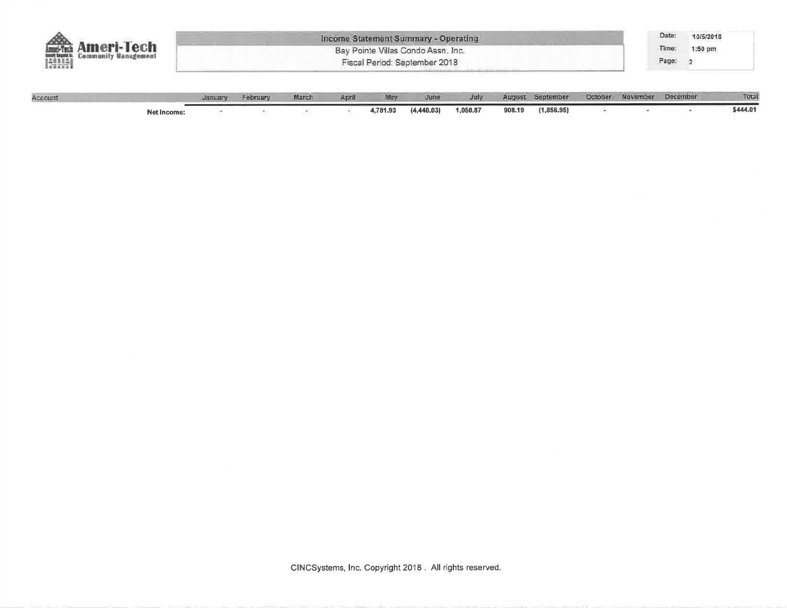| 10/5/2018 |
|-----------|
| $1:50$ pm |
|           |
|           |

| Account |             | <b>AIRLIER</b> | <b>February</b> | March: | April | May      | Uune       | <b>July</b> |        | August September | Cotober November | December | Total    |
|---------|-------------|----------------|-----------------|--------|-------|----------|------------|-------------|--------|------------------|------------------|----------|----------|
|         | Net Income: |                |                 |        |       | 4,781.93 | (4,440.03) | 1,050.87    | 908.19 | (1,856.95)       |                  |          | \$444.01 |